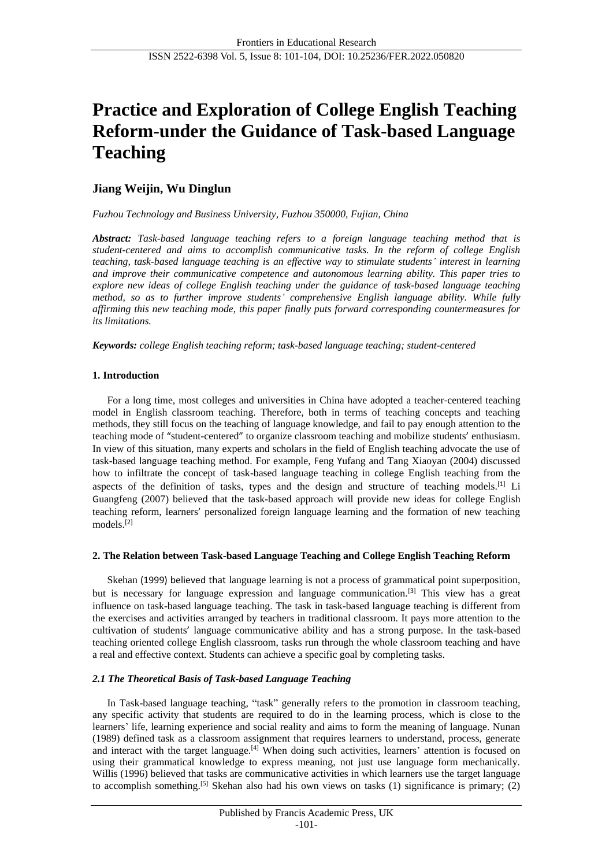# **Practice and Exploration of College English Teaching Reform-under the Guidance of Task-based Language Teaching**

# **Jiang Weijin, Wu Dinglun**

*Fuzhou Technology and Business University, Fuzhou 350000, Fujian, China*

*Abstract: Task-based language teaching refers to a foreign language teaching method that is student-centered and aims to accomplish communicative tasks. In the reform of college English teaching, task-based language teaching is an effective way to stimulate students' interest in learning and improve their communicative competence and autonomous learning ability. This paper tries to explore new ideas of college English teaching under the guidance of task-based language teaching method, so as to further improve students' comprehensive English language ability. While fully affirming this new teaching mode, this paper finally puts forward corresponding countermeasures for its limitations.*

*Keywords: college English teaching reform; task-based language teaching; student-centered*

## **1. Introduction**

For a long time, most colleges and universities in China have adopted a teacher-centered teaching model in English classroom teaching. Therefore, both in terms of teaching concepts and teaching methods, they still focus on the teaching of language knowledge, and fail to pay enough attention to the teaching mode of "student-centered" to organize classroom teaching and mobilize students' enthusiasm. In view of this situation, many experts and scholars in the field of English teaching advocate the use of task-based language teaching method. For example, Feng Yufang and Tang Xiaoyan (2004) discussed how to infiltrate the concept of task-based language teaching in college English teaching from the aspects of the definition of tasks, types and the design and structure of teaching models.<sup>[1]</sup> Li Guangfeng (2007) believed that the task-based approach will provide new ideas for college English teaching reform, learners' personalized foreign language learning and the formation of new teaching models.[2]

#### **2. The Relation between Task-based Language Teaching and College English Teaching Reform**

Skehan (1999) believed that language learning is not a process of grammatical point superposition, but is necessary for language expression and language communication.<sup>[3]</sup> This view has a great influence on task-based language teaching. The task in task-based language teaching is different from the exercises and activities arranged by teachers in traditional classroom. It pays more attention to the cultivation of students' language communicative ability and has a strong purpose. In the task-based teaching oriented college English classroom, tasks run through the whole classroom teaching and have a real and effective context. Students can achieve a specific goal by completing tasks.

## *2.1 The Theoretical Basis of Task-based Language Teaching*

In Task-based language teaching, "task" generally refers to the promotion in classroom teaching, any specific activity that students are required to do in the learning process, which is close to the learners' life, learning experience and social reality and aims to form the meaning of language. Nunan (1989) defined task as a classroom assignment that requires learners to understand, process, generate and interact with the target language.<sup>[4]</sup> When doing such activities, learners' attention is focused on using their grammatical knowledge to express meaning, not just use language form mechanically. Willis (1996) believed that tasks are communicative activities in which learners use the target language to accomplish something.<sup>[5]</sup> Skehan also had his own views on tasks (1) significance is primary; (2)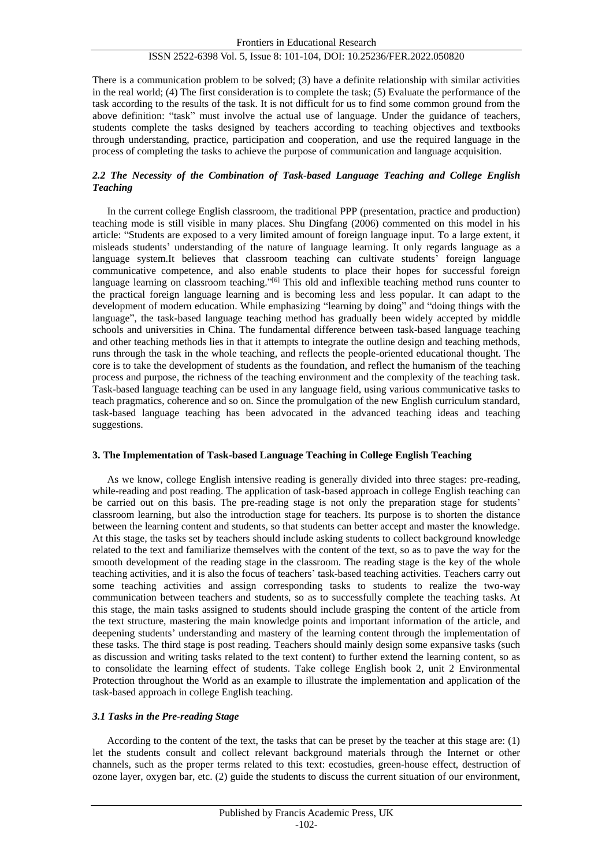## ISSN 2522-6398 Vol. 5, Issue 8: 101-104, DOI: 10.25236/FER.2022.050820

There is a communication problem to be solved; (3) have a definite relationship with similar activities in the real world; (4) The first consideration is to complete the task; (5) Evaluate the performance of the task according to the results of the task. It is not difficult for us to find some common ground from the above definition: "task" must involve the actual use of language. Under the guidance of teachers, students complete the tasks designed by teachers according to teaching objectives and textbooks through understanding, practice, participation and cooperation, and use the required language in the process of completing the tasks to achieve the purpose of communication and language acquisition.

## *2.2 The Necessity of the Combination of Task-based Language Teaching and College English Teaching*

In the current college English classroom, the traditional PPP (presentation, practice and production) teaching mode is still visible in many places. Shu Dingfang (2006) commented on this model in his article: "Students are exposed to a very limited amount of foreign language input. To a large extent, it misleads students' understanding of the nature of language learning. It only regards language as a language system.It believes that classroom teaching can cultivate students' foreign language communicative competence, and also enable students to place their hopes for successful foreign language learning on classroom teaching."<sup>[6]</sup> This old and inflexible teaching method runs counter to the practical foreign language learning and is becoming less and less popular. It can adapt to the development of modern education. While emphasizing "learning by doing" and "doing things with the language", the task-based language teaching method has gradually been widely accepted by middle schools and universities in China. The fundamental difference between task-based language teaching and other teaching methods lies in that it attempts to integrate the outline design and teaching methods, runs through the task in the whole teaching, and reflects the people-oriented educational thought. The core is to take the development of students as the foundation, and reflect the humanism of the teaching process and purpose, the richness of the teaching environment and the complexity of the teaching task. Task-based language teaching can be used in any language field, using various communicative tasks to teach pragmatics, coherence and so on. Since the promulgation of the new English curriculum standard, task-based language teaching has been advocated in the advanced teaching ideas and teaching suggestions.

#### **3. The Implementation of Task-based Language Teaching in College English Teaching**

As we know, college English intensive reading is generally divided into three stages: pre-reading, while-reading and post reading. The application of task-based approach in college English teaching can be carried out on this basis. The pre-reading stage is not only the preparation stage for students' classroom learning, but also the introduction stage for teachers. Its purpose is to shorten the distance between the learning content and students, so that students can better accept and master the knowledge. At this stage, the tasks set by teachers should include asking students to collect background knowledge related to the text and familiarize themselves with the content of the text, so as to pave the way for the smooth development of the reading stage in the classroom. The reading stage is the key of the whole teaching activities, and it is also the focus of teachers' task-based teaching activities. Teachers carry out some teaching activities and assign corresponding tasks to students to realize the two-way communication between teachers and students, so as to successfully complete the teaching tasks. At this stage, the main tasks assigned to students should include grasping the content of the article from the text structure, mastering the main knowledge points and important information of the article, and deepening students' understanding and mastery of the learning content through the implementation of these tasks. The third stage is post reading. Teachers should mainly design some expansive tasks (such as discussion and writing tasks related to the text content) to further extend the learning content, so as to consolidate the learning effect of students. Take college English book 2, unit 2 Environmental Protection throughout the World as an example to illustrate the implementation and application of the task-based approach in college English teaching.

#### *3.1 Tasks in the Pre-reading Stage*

According to the content of the text, the tasks that can be preset by the teacher at this stage are: (1) let the students consult and collect relevant background materials through the Internet or other channels, such as the proper terms related to this text: ecostudies, green-house effect, destruction of ozone layer, oxygen bar, etc. (2) guide the students to discuss the current situation of our environment,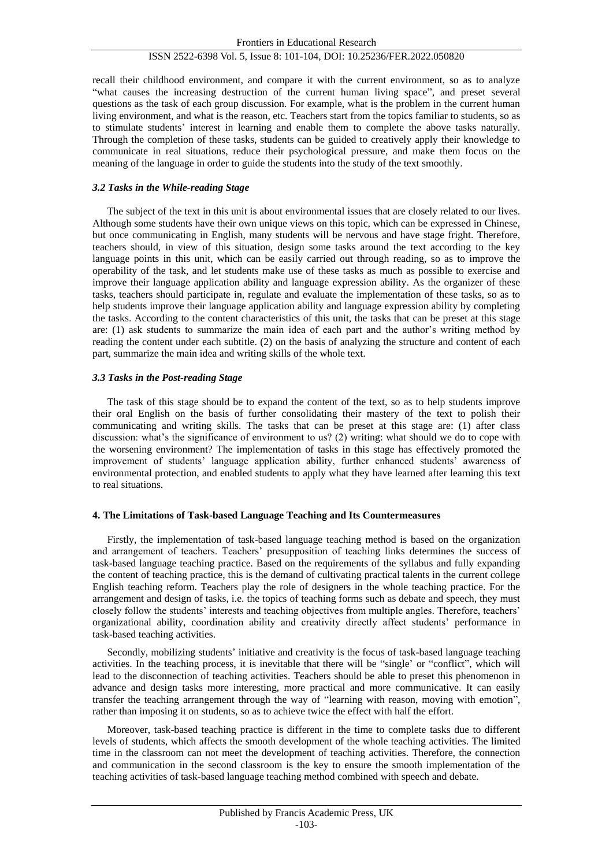## ISSN 2522-6398 Vol. 5, Issue 8: 101-104, DOI: 10.25236/FER.2022.050820

recall their childhood environment, and compare it with the current environment, so as to analyze "what causes the increasing destruction of the current human living space", and preset several questions as the task of each group discussion. For example, what is the problem in the current human living environment, and what is the reason, etc. Teachers start from the topics familiar to students, so as to stimulate students' interest in learning and enable them to complete the above tasks naturally. Through the completion of these tasks, students can be guided to creatively apply their knowledge to communicate in real situations, reduce their psychological pressure, and make them focus on the meaning of the language in order to guide the students into the study of the text smoothly.

#### *3.2 Tasks in the While-reading Stage*

The subject of the text in this unit is about environmental issues that are closely related to our lives. Although some students have their own unique views on this topic, which can be expressed in Chinese, but once communicating in English, many students will be nervous and have stage fright. Therefore, teachers should, in view of this situation, design some tasks around the text according to the key language points in this unit, which can be easily carried out through reading, so as to improve the operability of the task, and let students make use of these tasks as much as possible to exercise and improve their language application ability and language expression ability. As the organizer of these tasks, teachers should participate in, regulate and evaluate the implementation of these tasks, so as to help students improve their language application ability and language expression ability by completing the tasks. According to the content characteristics of this unit, the tasks that can be preset at this stage are: (1) ask students to summarize the main idea of each part and the author's writing method by reading the content under each subtitle. (2) on the basis of analyzing the structure and content of each part, summarize the main idea and writing skills of the whole text.

#### *3.3 Tasks in the Post-reading Stage*

The task of this stage should be to expand the content of the text, so as to help students improve their oral English on the basis of further consolidating their mastery of the text to polish their communicating and writing skills. The tasks that can be preset at this stage are: (1) after class discussion: what's the significance of environment to us? (2) writing: what should we do to cope with the worsening environment? The implementation of tasks in this stage has effectively promoted the improvement of students' language application ability, further enhanced students' awareness of environmental protection, and enabled students to apply what they have learned after learning this text to real situations.

#### **4. The Limitations of Task-based Language Teaching and Its Countermeasures**

Firstly, the implementation of task-based language teaching method is based on the organization and arrangement of teachers. Teachers' presupposition of teaching links determines the success of task-based language teaching practice. Based on the requirements of the syllabus and fully expanding the content of teaching practice, this is the demand of cultivating practical talents in the current college English teaching reform. Teachers play the role of designers in the whole teaching practice. For the arrangement and design of tasks, i.e. the topics of teaching forms such as debate and speech, they must closely follow the students' interests and teaching objectives from multiple angles. Therefore, teachers' organizational ability, coordination ability and creativity directly affect students' performance in task-based teaching activities.

Secondly, mobilizing students' initiative and creativity is the focus of task-based language teaching activities. In the teaching process, it is inevitable that there will be "single' or "conflict", which will lead to the disconnection of teaching activities. Teachers should be able to preset this phenomenon in advance and design tasks more interesting, more practical and more communicative. It can easily transfer the teaching arrangement through the way of "learning with reason, moving with emotion", rather than imposing it on students, so as to achieve twice the effect with half the effort.

Moreover, task-based teaching practice is different in the time to complete tasks due to different levels of students, which affects the smooth development of the whole teaching activities. The limited time in the classroom can not meet the development of teaching activities. Therefore, the connection and communication in the second classroom is the key to ensure the smooth implementation of the teaching activities of task-based language teaching method combined with speech and debate.